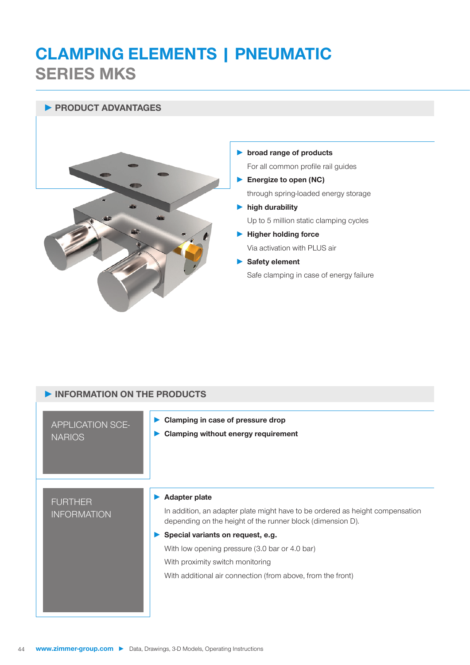# **CLAMPING ELEMENTS | PNEUMATIC SERIES MKS**

## **► PRODUCT ADVANTAGES**



## **► broad range of products**

For all common profile rail guides

- **► Energize to open (NC)** through spring-loaded energy storage
- **► high durability** Up to 5 million static clamping cycles
- **► Higher holding force** Via activation with PLUS air
- **► Safety element** Safe clamping in case of energy failure

| INFORMATION ON THE PRODUCTS              |                                                                                                                                                                                                                                                                                                                                                               |  |
|------------------------------------------|---------------------------------------------------------------------------------------------------------------------------------------------------------------------------------------------------------------------------------------------------------------------------------------------------------------------------------------------------------------|--|
| <b>APPLICATION SCE-</b><br><b>NARIOS</b> | Clamping in case of pressure drop<br><b>Clamping without energy requirement</b>                                                                                                                                                                                                                                                                               |  |
| <b>FURTHER</b><br><b>INFORMATION</b>     | <b>Adapter plate</b><br>In addition, an adapter plate might have to be ordered as height compensation<br>depending on the height of the runner block (dimension D).<br>Special variants on request, e.g.<br>With low opening pressure (3.0 bar or 4.0 bar)<br>With proximity switch monitoring<br>With additional air connection (from above, from the front) |  |